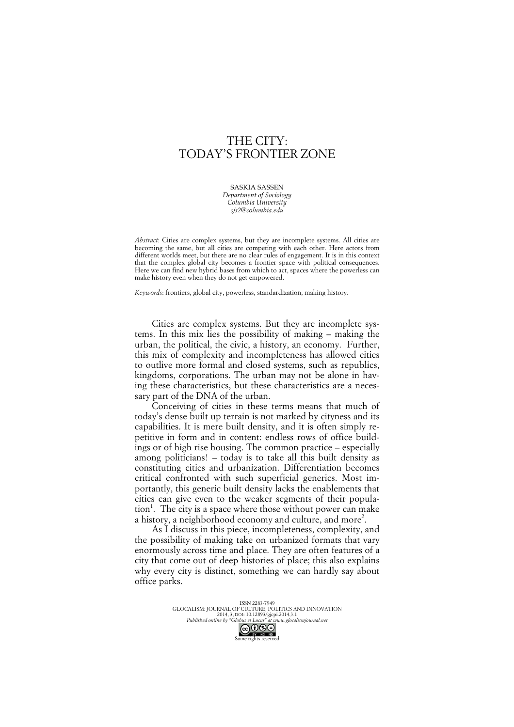## THE CITY: TODAY'S FRONTIER ZONE

SASKIA SASSEN *Department of Sociology Columbia University sjs2@columbia.edu*

*Abstract*: Cities are complex systems, but they are incomplete systems. All cities are becoming the same, but all cities are competing with each other. Here actors from different worlds meet, but there are no clear rules of engagement. It is in this context that the complex global city becomes a frontier space with political consequences. Here we can find new hybrid bases from which to act, spaces where the powerless can make history even when they do not get empowered.

*Keywords*: frontiers, global city, powerless, standardization, making history.

Cities are complex systems. But they are incomplete systems. In this mix lies the possibility of making – making the urban, the political, the civic, a history, an economy. Further, this mix of complexity and incompleteness has allowed cities to outlive more formal and closed systems, such as republics, kingdoms, corporations. The urban may not be alone in having these characteristics, but these characteristics are a necessary part of the DNA of the urban.

Conceiving of cities in these terms means that much of today's dense built up terrain is not marked by cityness and its capabilities. It is mere built density, and it is often simply repetitive in form and in content: endless rows of office buildings or of high rise housing. The common practice – especially among politicians! – today is to take all this built density as constituting cities and urbanization. Differentiation becomes critical confronted with such superficial generics. Most importantly, this generic built density lacks the enablements that cities can give even to the weaker segments of their population<sup>1</sup>. The city is a space where those without power can make a history, a neighborhood economy and culture, and more<sup>2</sup>.

As I discuss in this piece, incompleteness, complexity, and the possibility of making take on urbanized formats that vary enormously across time and place. They are often features of a city that come out of deep histories of place; this also explains why every city is distinct, something we can hardly say about office parks.

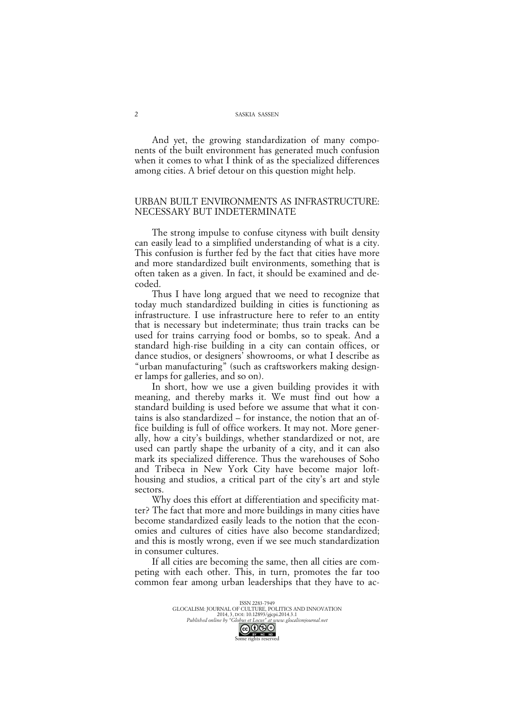And yet, the growing standardization of many components of the built environment has generated much confusion when it comes to what I think of as the specialized differences among cities. A brief detour on this question might help.

## URBAN BUILT ENVIRONMENTS AS INFRASTRUCTURE: NECESSARY BUT INDETERMINATE

The strong impulse to confuse cityness with built density can easily lead to a simplified understanding of what is a city. This confusion is further fed by the fact that cities have more and more standardized built environments, something that is often taken as a given. In fact, it should be examined and decoded.

Thus I have long argued that we need to recognize that today much standardized building in cities is functioning as infrastructure. I use infrastructure here to refer to an entity that is necessary but indeterminate; thus train tracks can be used for trains carrying food or bombs, so to speak. And a standard high-rise building in a city can contain offices, or dance studios, or designers' showrooms, or what I describe as "urban manufacturing" (such as craftsworkers making designer lamps for galleries, and so on).

In short, how we use a given building provides it with meaning, and thereby marks it. We must find out how a standard building is used before we assume that what it contains is also standardized – for instance, the notion that an office building is full of office workers. It may not. More generally, how a city's buildings, whether standardized or not, are used can partly shape the urbanity of a city, and it can also mark its specialized difference. Thus the warehouses of Soho and Tribeca in New York City have become major lofthousing and studios, a critical part of the city's art and style sectors.

Why does this effort at differentiation and specificity matter? The fact that more and more buildings in many cities have become standardized easily leads to the notion that the economies and cultures of cities have also become standardized; and this is mostly wrong, even if we see much standardization in consumer cultures.

If all cities are becoming the same, then all cities are competing with each other. This, in turn, promotes the far too common fear among urban leaderships that they have to ac-

> ISSN 2283-7949 GLOCALISM: JOURNAL OF CULTURE, POLITICS AND INNOVATION 2014, 3, DOI: 10.12893/gjcpi.2014.3.1 *Published online by "Globus et Locus" at www.glocalismjournal.net* GO OSO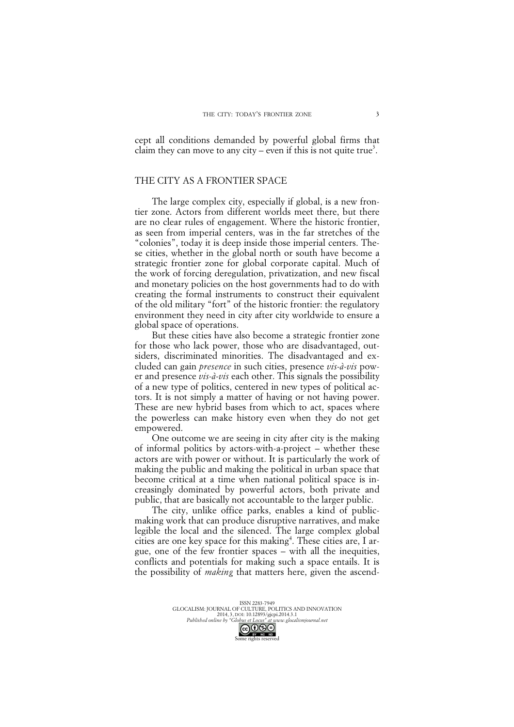cept all conditions demanded by powerful global firms that claim they can move to any city – even if this is not quite true<sup>3</sup>.

## THE CITY AS A FRONTIER SPACE

The large complex city, especially if global, is a new frontier zone. Actors from different worlds meet there, but there are no clear rules of engagement. Where the historic frontier, as seen from imperial centers, was in the far stretches of the "colonies", today it is deep inside those imperial centers. These cities, whether in the global north or south have become a strategic frontier zone for global corporate capital. Much of the work of forcing deregulation, privatization, and new fiscal and monetary policies on the host governments had to do with creating the formal instruments to construct their equivalent of the old military "fort" of the historic frontier: the regulatory environment they need in city after city worldwide to ensure a global space of operations.

But these cities have also become a strategic frontier zone for those who lack power, those who are disadvantaged, outsiders, discriminated minorities. The disadvantaged and excluded can gain *presence* in such cities, presence *vis-à-vis* power and presence *vis-à-vis* each other. This signals the possibility of a new type of politics, centered in new types of political actors. It is not simply a matter of having or not having power. These are new hybrid bases from which to act, spaces where the powerless can make history even when they do not get empowered.

One outcome we are seeing in city after city is the making of informal politics by actors-with-a-project – whether these actors are with power or without. It is particularly the work of making the public and making the political in urban space that become critical at a time when national political space is increasingly dominated by powerful actors, both private and public, that are basically not accountable to the larger public.

The city, unlike office parks, enables a kind of publicmaking work that can produce disruptive narratives, and make legible the local and the silenced. The large complex global cities are one key space for this making<sup>4</sup>. These cities are, I argue, one of the few frontier spaces – with all the inequities, conflicts and potentials for making such a space entails. It is the possibility of *making* that matters here, given the ascend-

ISSN 2283-7949 GLOCALISM: JOURNAL OF CULTURE, POLITICS AND INNOVATION 2014, 3, DOI: 10.12893/gjcpi.2014.3.1 *Published online by "Globus et Locus" at www.glocalismjournal.net*